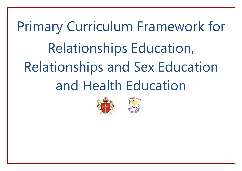# Primary Curriculum Framework for Relationships Education, Relationships and Sex Education and Health Education



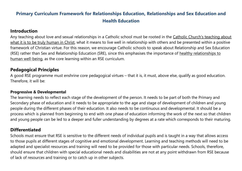## **Primary Curriculum Framework for Relationships Education, Relationships and Sex Education and Health Education**

## **Introduction**

Any teaching about love and sexual relationships in a Catholic school must be rooted in the Catholic Church's teaching about what it is to be truly human in Christ, what it means to live well in relationship with others and be presented within a positive framework of Christian virtue. For this reason, we encourage Catholic schools to speak about Relationship and Sex Education (RSE) rather than Sex and Relationship Education (SRE), since this emphasises the importance of healthy relationships to human well-being, as the core learning within an RSE curriculum.

## **Pedagogical Principles**

A good RSE programme must enshrine core pedagogical virtues – that it is, it must, above else, qualify as good education. Therefore, it will be:

#### **Progressive & Developmental**

The learning needs to reflect each stage of the development of the person. It needs to be part of both the Primary and Secondary phase of education and it needs to be appropriate to the age and stage of development of children and young people during the different phases of their education. It also needs to be continuous and developmental. It should be a process which is planned from beginning to end with one phase of education informing the work of the next so that children and young people can be led to a deeper and fuller understanding by degrees at a rate which corresponds to their maturing.

## **Differentiated**

Schools must ensure that RSE is sensitive to the different needs of individual pupils and is taught in a way that allows access to those pupils at different stages of cognitive and emotional development. Learning and teaching methods will need to be adapted and specialist resources and training will need to be provided for those with particular needs. Schools, therefore, should ensure that children with special educational needs and disabilities are not at any point withdrawn from RSE because of lack of resources and training or to catch up in other subjects.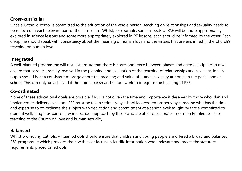## **Cross-curricular**

Since a Catholic school is committed to the education of the whole person, teaching on relationships and sexuality needs to be reflected in each relevant part of the curriculum. Whilst, for example, some aspects of RSE will be more appropriately explored in science lessons and some more appropriately explored in RE lessons, each should be informed by the other. Each discipline should speak with consistency about the meaning of human love and the virtues that are enshrined in the Church's teaching on human love.

## **Integrated**

A well-planned programme will not just ensure that there is correspondence between phases and across disciplines but will ensure that parents are fully involved in the planning and evaluation of the teaching of relationships and sexuality. Ideally, pupils should hear a consistent message about the meaning and value of human sexuality at home, in the parish and at school. This can only be achieved if the home, parish and school work to integrate the teaching of RSE.

## **Co-ordinated**

None of these educational goals are possible if RSE is not given the time and importance it deserves by those who plan and implement its delivery in school. RSE must be taken seriously by school leaders; led properly by someone who has the time and expertise to co-ordinate the subject with dedication and commitment at a senior level; taught by those committed to doing it well; taught as part of a whole-school approach by those who are able to celebrate – not merely tolerate – the teaching of the Church on love and human sexuality.

## **Balanced**

Whilst promoting Catholic virtues, schools should ensure that children and young people are offered a broad and balanced RSE programme which provides them with clear factual, scientific information when relevant and meets the statutory requirements placed on schools.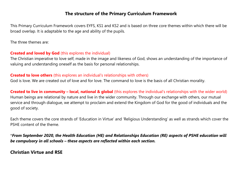## **The structure of the Primary Curriculum Framework**

This Primary Curriculum Framework covers EYFS, KS1 and KS2 and is based on three core themes within which there will be broad overlap. It is adaptable to the age and ability of the pupils.

The three themes are:

## **Created and loved by God** (this explores the individual)

The Christian imperative to love self, made in the image and likeness of God, shows an understanding of the importance of valuing and understanding oneself as the basis for personal relationships.

#### **Created to love others** (this explores an individual's relationships with others)

God is love. We are created out of love and for love. The command to love is the basis of all Christian morality.

#### **Created to live in community – local, national & global** (this explores the individual's relationships with the wider world)

Human beings are relational by nature and live in the wider community. Through our exchange with others, our mutual service and through dialogue, we attempt to proclaim and extend the Kingdom of God for the good of individuals and the good of society.

Each theme covers the core strands of 'Education in Virtue' and 'Religious Understanding' as well as strands which cover the PSHE content of the theme.

\**From September 2020, the Health Education (HE) and Relationships Education (RE) aspects of PSHE education will be compulsory in all schools – these aspects are reflected within each section.*

## **Christian Virtue and RSE**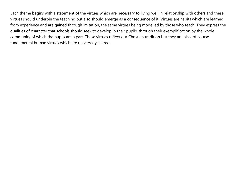Each theme begins with a statement of the virtues which are necessary to living well in relationship with others and these virtues should underpin the teaching but also should emerge as a consequence of it. Virtues are habits which are learned from experience and are gained through imitation, the same virtues being modelled by those who teach. They express the qualities of character that schools should seek to develop in their pupils, through their exemplification by the whole community of which the pupils are a part. These virtues reflect our Christian tradition but they are also, of course, fundamental human virtues which are universally shared.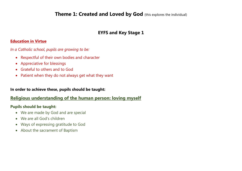## **Theme 1: Created and Loved by God** (this explores the individual)

## **EYFS and Key Stage 1**

#### **Education in Virtue**

*In a Catholic school, pupils are growing to be:*

- Respectful of their own bodies and character
- Appreciative for blessings
- Grateful to others and to God
- Patient when they do not always get what they want

#### **In order to achieve these, pupils should be taught:**

## **Religious understanding of the human person: loving myself**

- We are made by God and are special
- We are all God's children
- Ways of expressing gratitude to God
- About the sacrament of Baptism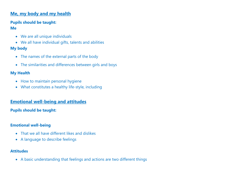## **Me, my body and my health**

## **Pupils should be taught:**

## **Me**

- We are all unique individuals
- We all have individual gifts, talents and abilities

## **My body**

- The names of the external parts of the body
- The similarities and differences between girls and boys

## **My Health**

- How to maintain personal hygiene
- What constitutes a healthy life-style, including

## **Emotional well-being and attitudes**

## **Pupils should be taught:**

## **Emotional well-being**

- That we all have different likes and dislikes
- A language to describe feelings

#### **Attitudes**

A basic understanding that feelings and actions are two different things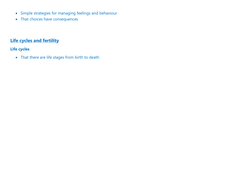- Simple strategies for managing feelings and behaviour
- That choices have consequences

## **Life cycles and fertility**

## **Life cycles**

• That there are life stages from birth to death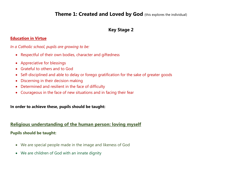## **Theme 1: Created and Loved by God** (this explores the individual)

## **Key Stage 2**

#### **Education in Virtue**

#### *In a Catholic school, pupils are growing to be:*

- Respectful of their own bodies, character and giftedness
- Appreciative for blessings
- Grateful to others and to God
- Self-disciplined and able to delay or forego gratification for the sake of greater goods
- Discerning in their decision making
- Determined and resilient in the face of difficulty
- Courageous in the face of new situations and in facing their fear

#### **In order to achieve these, pupils should be taught:**

#### **Religious understanding of the human person: loving myself**

- We are special people made in the image and likeness of God
- We are children of God with an innate dignity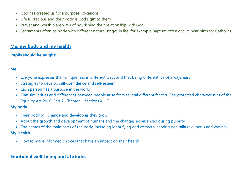- God has created us for a purpose (vocation)
- Life is precious and their body is God's gift to them
- Prayer and worship are ways of nourishing their relationship with God
- Sacraments often coincide with different natural stages in life, for example Baptism often occurs near birth for Catholics

## **Me, my body and my health**

## **Pupils should be taught:**

#### **Me**

- Everyone expresses their uniqueness in different ways and that being different is not always easy
- Strategies to develop self-confidence and self-esteem
- Each person has a purpose in the world
- That similarities and differences between people arise from several different factors (See protected characteristics of the Equality Act 2010, Part 2, Chapter 1, sections 4-12)

## **My body**

- Their body will change and develop as they grow
- About the growth and development of humans and the changes experienced during puberty
- The names of the main parts of the body, including identifying and correctly naming genitalia (e.g. penis and vagina)

#### **My Health**

How to make informed choices that have an impact on their health

## **Emotional well-being and attitudes**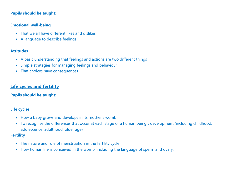#### **Pupils should be taught:**

#### **Emotional well-being**

- That we all have different likes and dislikes
- A language to describe feelings

#### **Attitudes**

- A basic understanding that feelings and actions are two different things
- Simple strategies for managing feelings and behaviour
- That choices have consequences

## **Life cycles and fertility**

#### **Pupils should be taught:**

#### **Life cycles**

- How a baby grows and develops in its mother's womb
- To recognise the differences that occur at each stage of a human being's development (including childhood, adolescence, adulthood, older age)

#### **Fertility**

- The nature and role of menstruation in the fertility cycle
- How human life is conceived in the womb, including the language of sperm and ovary.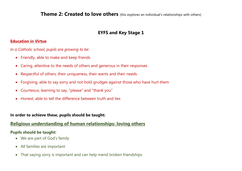**Theme 2: Created to love others** (this explores an individual's relationships with others)

## **EYFS and Key Stage 1**

#### **Education in Virtue**

*In a Catholic school, pupils are growing to be:*

- Friendly, able to make and keep friends
- Caring, attentive to the needs of others and generous in their responses
- Respectful of others, their uniqueness, their wants and their needs
- Forgiving, able to say sorry and not hold grudges against those who have hurt them
- Courteous, learning to say, "please" and "thank you"
- Honest, able to tell the difference between truth and lies

#### **In order to achieve these, pupils should be taught:**

#### **Religious understanding of human relationships: loving others**

- We are part of God's family
- All families are important
- That saying sorry is important and can help mend broken friendships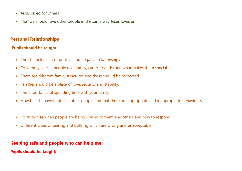- Jesus cared for others
- That we should love other people in the same way Jesus loves us

## **Personal Relationships**

#### **Pupils should be taught:**

- The characteristics of positive and negative relationships
- To identify special people (e.g. family, carers, friends) and what makes them special
- There are different family structures and these should be respected
- Families should be a place of love, security and stability.
- The importance of spending time with your family
- How their behaviour affects other people and that there are appropriate and inappropriate behaviours
- To recognise when people are being unkind to them and others and how to respond
- Different types of teasing and bullying which are wrong and unacceptable

## **Keeping safe and people who can help me**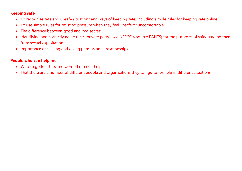#### **Keeping safe**

- To recognise safe and unsafe situations and ways of keeping safe, including simple rules for keeping safe online
- To use simple rules for resisting pressure when they feel unsafe or uncomfortable
- The difference between good and bad secrets
- Identifying and correctly name their "private parts" (see NSPCC resource PANTS) for the purposes of safeguarding them from sexual exploitation
- Importance of seeking and giving permission in relationships.

#### **People who can help me**

- Who to go to if they are worried or need help
- That there are a number of different people and organisations they can go to for help in different situations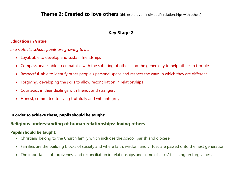**Theme 2: Created to love others** (this explores an individual's relationships with others)

## **Key Stage 2**

#### **Education in Virtue**

*In a Catholic school, pupils are growing to be:*

- Loyal, able to develop and sustain friendships
- Compassionate, able to empathise with the suffering of others and the generosity to help others in trouble
- Respectful, able to identify other people's personal space and respect the ways in which they are different
- Forgiving, developing the skills to allow reconciliation in relationships
- Courteous in their dealings with friends and strangers
- Honest, committed to living truthfully and with integrity

#### **In order to achieve these, pupils should be taught:**

#### **Religious understanding of human relationships: loving others**

- Christians belong to the Church family which includes the school, parish and diocese
- Families are the building blocks of society and where faith, wisdom and virtues are passed onto the next generation
- The importance of forgiveness and reconciliation in relationships and some of Jesus' teaching on forgiveness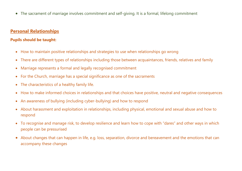The sacrament of marriage involves commitment and self-giving. It is a formal, lifelong commitment

## **Personal Relationships**

- How to maintain positive relationships and strategies to use when relationships go wrong
- There are different types of relationships including those between acquaintances, friends, relatives and family
- Marriage represents a formal and legally recognised commitment
- For the Church, marriage has a special significance as one of the sacraments
- The characteristics of a healthy family life.
- How to make informed choices in relationships and that choices have positive, neutral and negative consequences
- An awareness of bullying (including cyber-bullying) and how to respond
- About harassment and exploitation in relationships, including physical, emotional and sexual abuse and how to respond
- To recognise and manage risk, to develop resilience and learn how to cope with "dares" and other ways in which people can be pressurised
- About changes that can happen in life, e.g. loss, separation, divorce and bereavement and the emotions that can accompany these changes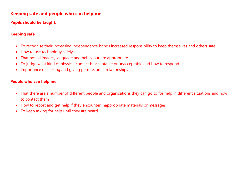## **Keeping safe and people who can help me**

## **Pupils should be taught:**

## **Keeping safe**

- To recognise their increasing independence brings increased responsibility to keep themselves and others safe
- How to use technology safely
- That not all images, language and behaviour are appropriate
- To judge what kind of physical contact is acceptable or unacceptable and how to respond
- Importance of seeking and giving permission in relationships

#### **People who can help me**

- That there are a number of different people and organisations they can go to for help in different situations and how to contact them
- How to report and get help if they encounter inappropriate materials or messages
- To keep asking for help until they are heard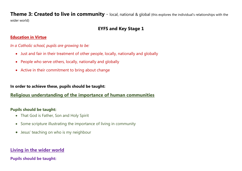**Theme 3: Created to live in community** - local, national & global (this explores the individual's relationships with the wider world)

## **EYFS and Key Stage 1**

#### **Education in Virtue**

*In a Catholic school, pupils are growing to be:*

- Just and fair in their treatment of other people, locally, nationally and globally
- People who serve others, locally, nationally and globally
- Active in their commitment to bring about change

#### **In order to achieve these, pupils should be taught:**

## **Religious understanding of the importance of human communities**

#### **Pupils should be taught:**

- That God is Father, Son and Holy Spirit
- Some scripture illustrating the importance of living in community
- Jesus' teaching on who is my neighbour

## **Living in the wider world**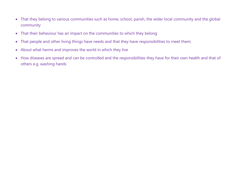- That they belong to various communities such as home, school, parish, the wider local community and the global community
- That their behaviour has an impact on the communities to which they belong
- That people and other living things have needs and that they have responsibilities to meet them;
- About what harms and improves the world in which they live
- How diseases are spread and can be controlled and the responsibilities they have for their own health and that of others e.g. washing hands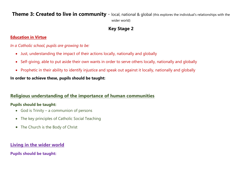**Theme 3: Created to live in community** - local, national & global (this explores the individual's relationships with the wider world)

## **Key Stage 2**

#### **Education in Virtue**

*In a Catholic school, pupils are growing to be:*

- Just, understanding the impact of their actions locally, nationally and globally
- Self-giving, able to put aside their own wants in order to serve others locally, nationally and globally
- Prophetic in their ability to identify injustice and speak out against it locally, nationally and globally

**In order to achieve these, pupils should be taught:**

## **Religious understanding of the importance of human communities**

#### **Pupils should be taught:**

- God is Trinity a communion of persons
- The key principles of Catholic Social Teaching
- The Church is the Body of Christ

## **Living in the wider world**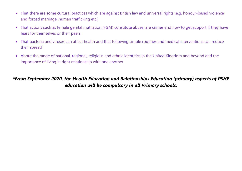- That there are some cultural practices which are against British law and universal rights (e.g. honour-based violence and forced marriage, human trafficking etc.)
- That actions such as female genital mutilation (FGM) constitute abuse, are crimes and how to get support if they have fears for themselves or their peers
- That bacteria and viruses can affect health and that following simple routines and medical interventions can reduce their spread
- About the range of national, regional, religious and ethnic identities in the United Kingdom and beyond and the importance of living in right relationship with one another

## *\*From September 2020, the Health Education and Relationships Education (primary) aspects of PSHE education will be compulsory in all Primary schools.*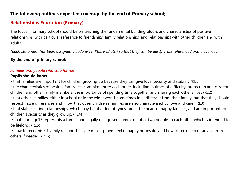## **The following outlines expected coverage by the end of Primary school;**

## **Relationships Education (Primary**)

The focus in primary school should be on teaching the fundamental building blocks and characteristics of positive relationships, with particular reference to friendships, family relationships, and relationships with other children and with adults.

*\*Each statement has been assigned a code (RE1, RE2, RE3 etc.) so that they can be easily cross referenced and evidenced.*

## **By the end of primary school:**

## *Families and people who care for me*

#### **Pupils should know**

• that families are important for children growing up because they can give love, security and stability (RE1)

• the characteristics of healthy family life, commitment to each other, including in times of difficulty, protection and care for children and other family members, the importance of spending time together and sharing each other's lives (RE2)

• that others' families, either in school or in the wider world, sometimes look different from their family, but that they should respect those differences and know that other children's families are also characterised by love and care. (RE3)

• that stable, caring relationships, which may be of different types, are at the heart of happy families, and are important for children's security as they grow up. (RE4)

• that marriage13 represents a formal and legally recognised commitment of two people to each other which is intended to be lifelong. (RE5)

• how to recognise if family relationships are making them feel unhappy or unsafe, and how to seek help or advice from others if needed. (RE6)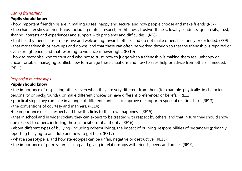## *Caring friendships*

## **Pupils should know**

• how important friendships are in making us feel happy and secure, and how people choose and make friends (RE7)

• the characteristics of friendships, including mutual respect, truthfulness, trustworthiness, loyalty, kindness, generosity, trust, sharing interests and experiences and support with problems and difficulties. (RE8)

• that healthy friendships are positive and welcoming towards others, and do not make others feel lonely or excluded. (RE9)

• that most friendships have ups and downs, and that these can often be worked through so that the friendship is repaired or even strengthened, and that resorting to violence is never right. (RE10)

• how to recognise who to trust and who not to trust, how to judge when a friendship is making them feel unhappy or uncomfortable, managing conflict, how to manage these situations and how to seek help or advice from others, if needed. (RE11)

## *Respectful relationships*

## **Pupils should know**

• the importance of respecting others, even when they are very different from them (for example, physically, in character, personality or backgrounds), or make different choices or have different preferences or beliefs. (RE12)

- practical steps they can take in a range of different contexts to improve or support respectful relationships. (RE13)
- the conventions of courtesy and manners. (RE14)
- •the importance of self-respect and how this links to their own happiness. (RE15)
- that in school and in wider society they can expect to be treated with respect by others, and that in turn they should show due respect to others, including those in positions of authority. (RE16)
- about different types of bullying (including cyberbullying), the impact of bullying, responsibilities of bystanders (primarily reporting bullying to an adult) and how to get help. (RE17)
- what a stereotype is, and how stereotypes can be unfair, negative or destructive. (RE18)
- the importance of permission-seeking and giving in relationships with friends, peers and adults. (RE19)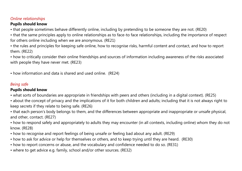## *Online relationships*

## **Pupils should know**

• that people sometimes behave differently online, including by pretending to be someone they are not. (RE20)

• that the same principles apply to online relationships as to face-to face relationships, including the importance of respect for others online including when we are anonymous. (RE21)

• the rules and principles for keeping safe online, how to recognise risks, harmful content and contact, and how to report them. (RE22)

• how to critically consider their online friendships and sources of information including awareness of the risks associated with people they have never met. (RE23)

• how information and data is shared and used online. (RE24)

## *Being saf*e

## **Pupils should know**

• what sorts of boundaries are appropriate in friendships with peers and others (including in a digital context). (RE25)

• about the concept of privacy and the implications of it for both children and adults; including that it is not always right to keep secrets if they relate to being safe. (RE26)

• that each person's body belongs to them, and the differences between appropriate and inappropriate or unsafe physical, and other, contact. (RE27)

• how to respond safely and appropriately to adults they may encounter (in all contexts, including online) whom they do not know. (RE28)

- how to recognise and report feelings of being unsafe or feeling bad about any adult. (RE29)
- how to ask for advice or help for themselves or others, and to keep trying until they are heard. (RE30)
- how to report concerns or abuse, and the vocabulary and confidence needed to do so. (RE31)
- where to get advice e.g. family, school and/or other sources. (RE32)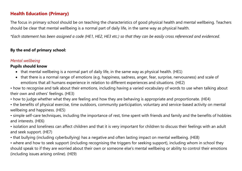## **Health Education (Primary)**

The focus in primary school should be on teaching the characteristics of good physical health and mental wellbeing. Teachers should be clear that mental wellbeing is a normal part of daily life, in the same way as physical health.

*\*Each statement has been assigned a code (HE1, HE2, HE3 etc.) so that they can be easily cross referenced and evidenced.*

#### **By the end of primary school:**

#### *Mental wellbeing*

#### **Pupils should know**

- that mental wellbeing is a normal part of daily life, in the same way as physical health. (HE1)
- that there is a normal range of emotions (e.g. happiness, sadness, anger, fear, surprise, nervousness) and scale of emotions that all humans experience in relation to different experiences and situations. (HE2)

• how to recognise and talk about their emotions, including having a varied vocabulary of words to use when talking about their own and others' feelings. (HE3)

- how to judge whether what they are feeling and how they are behaving is appropriate and proportionate. (HE4)
- the benefits of physical exercise, time outdoors, community participation, voluntary and service-based activity on mental wellbeing and happiness. (HE5)
- simple self-care techniques, including the importance of rest, time spent with friends and family and the benefits of hobbies and interests. (HE6)
- isolation and loneliness can affect children and that it is very important for children to discuss their feelings with an adult and seek support. (HE7)
- that bullying (including cyberbullying) has a negative and often lasting impact on mental wellbeing. (HE8)

• where and how to seek support (including recognising the triggers for seeking support), including whom in school they should speak to if they are worried about their own or someone else's mental wellbeing or ability to control their emotions (including issues arising online). (HE9)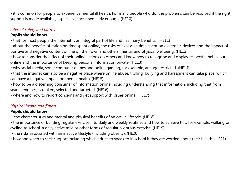• it is common for people to experience mental ill health. For many people who do, the problems can be resolved if the right support is made available, especially if accessed early enough. (HE10)

#### *Internet safety and harms*

## **Pupils should know**

- that for most people the internet is an integral part of life and has many benefits. (HE11)
- about the benefits of rationing time spent online, the risks of excessive time spent on electronic devices and the impact of positive and negative content online on their own and others' mental and physical wellbeing. (HE12)
- how to consider the effect of their online actions on others and know how to recognise and display respectful behaviour online and the importance of keeping personal information private. (HE13)
- why social media, some computer games and online gaming, for example, are age restricted. (HE14)
- that the internet can also be a negative place where online abuse, trolling, bullying and harassment can take place, which can have a negative impact on mental health. (HE15)
- how to be a discerning consumer of information online including understanding that information, including that from search engines, is ranked, selected and targeted. (HE16)
- where and how to report concerns and get support with issues online. (HE17)

## *Physical health and fitness*

#### **Pupils should know**

- the characteristics and mental and physical benefits of an active lifestyle. (HE18)
- the importance of building regular exercise into daily and weekly routines and how to achieve this; for example, walking or cycling to school, a daily active mile or other forms of regular, vigorous exercise. (HE19)
- the risks associated with an inactive lifestyle (including obesity). (HE20)
- how and when to seek support including which adults to speak to in school if they are worried about their health. (HE21)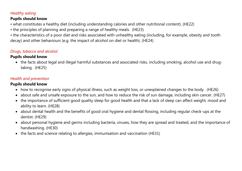## *Healthy eating*

## **Pupils should know**

- what constitutes a healthy diet (including understanding calories and other nutritional content). (HE22)
- the principles of planning and preparing a range of healthy meals. (HE23)
- the characteristics of a poor diet and risks associated with unhealthy eating (including, for example, obesity and tooth decay) and other behaviours (e.g. the impact of alcohol on diet or health). (HE24)

## *Drugs, tobacco and alcohol*

## **Pupils should know**

 the facts about legal and illegal harmful substances and associated risks, including smoking, alcohol use and drugtaking. (HE25)

## *Health and prevention*

#### **Pupils should know**

- how to recognise early signs of physical illness, such as weight loss, or unexplained changes to the body. (HE26)
- about safe and unsafe exposure to the sun, and how to reduce the risk of sun damage, including skin cancer. (HE27)
- the importance of sufficient good quality sleep for good health and that a lack of sleep can affect weight, mood and ability to learn. (HE28)
- about dental health and the benefits of good oral hygiene and dental flossing, including regular check-ups at the dentist. (HE29)
- about personal hygiene and germs including bacteria, viruses, how they are spread and treated, and the importance of handwashing. (HE30)
- the facts and science relating to allergies, immunisation and vaccination (HE31)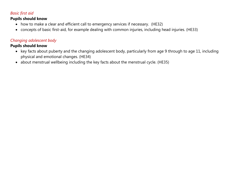## *Basic first aid*

#### **Pupils should know**

- how to make a clear and efficient call to emergency services if necessary. (HE32)
- concepts of basic first-aid, for example dealing with common injuries, including head injuries. (HE33)

## *Changing adolescent body*

## **Pupils should know**

- key facts about puberty and the changing adolescent body, particularly from age 9 through to age 11, including physical and emotional changes. (HE34)
- about menstrual wellbeing including the key facts about the menstrual cycle. (HE35)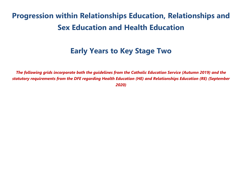# **Progression within Relationships Education, Relationships and Sex Education and Health Education**

## **Early Years to Key Stage Two**

*The following grids incorporate both the guidelines from the Catholic Education Service (Autumn 2019) and the statutory requirements from the DFE regarding Health Education (HE) and Relationships Education (RE) (September 2020)*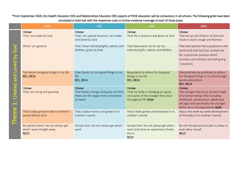#### \*From September 2020, the Health Education (HE) and Relationships Education (RE) aspects of PSHE education will be compulsory in all schools. The following grids have been annotated in bold text with the respective code to further evidence coverage of each of these areas.

|                                                                                                                                                                            | <b>EYFS</b>                                                                     | KS1                                                                                                  | LKS2                                                                                                        | UKS2                                                                                                                                                                                                    |
|----------------------------------------------------------------------------------------------------------------------------------------------------------------------------|---------------------------------------------------------------------------------|------------------------------------------------------------------------------------------------------|-------------------------------------------------------------------------------------------------------------|---------------------------------------------------------------------------------------------------------------------------------------------------------------------------------------------------------|
| უ<br>სე<br>$\overline{\bf{6}}$<br>$\overline{\mathbf{e}}$<br>$\bullet$<br>bue<br>eated<br>Ō<br>$\overline{\phantom{0}}$<br>O<br>Ε<br>$\overline{\mathbf{0}}$<br><u>ici</u> | I know:<br>That I am made by God                                                | I know:<br>That I am special because I am made<br>and loved by God                                   | I know:<br>That life is precious and given by God                                                           | I know:<br>That we are all children of God and<br>made in God's image and likeness                                                                                                                      |
|                                                                                                                                                                            | What I am good at                                                               | That I have individual gifts, talents and<br>abilities, given by God                                 | That God wants me to use my<br>individual gifts, talents and abilities                                      | That each person has a purpose in the<br>world and that God has created me<br>for a particular purpose which<br>involves commitment and self-giving<br>(vocation)                                       |
|                                                                                                                                                                            | Talk about the good things in my life<br><b>RE1, RE14</b>                       | Give thanks for the good things in my<br>life<br><b>RE1, RE14</b>                                    | Be grateful to others for the good<br>things in my life<br><b>RE1, RE14</b>                                 | Demonstrate my gratitude to others<br>for the good things in my life through<br>words and actions<br><b>RE1, RE14</b>                                                                                   |
|                                                                                                                                                                            | I know:<br>That I am living and growing                                         | I know:<br>That babies change and grow and that<br>there are life stages from conception<br>to death | I know:<br>That my body is changing as I grow<br>and some of the changes that occur<br>throughout life HE34 | I know:<br>The changes that occur at each stage<br>of a human being's life (including<br>childhood, adolescence, adulthood,<br>old age) and specifically the changes<br>which occur during puberty HE34 |
|                                                                                                                                                                            | That a baby grows inside its mother's<br>womb before birth                      | That a baby moves as it grows in its<br>mother's womb                                                | How a baby grows and develops in its<br>mother's womb                                                       | About the week by week development<br>of the baby in its mother's womb                                                                                                                                  |
|                                                                                                                                                                            | Be patient when I do not always get<br>what I want straight away<br><b>RE13</b> | Accept that I do not always get what I<br>want                                                       | Accept that I do not always get what I<br>want and show an awareness of why<br>this is<br><b>RE13</b>       | Be self-disciplined and able to delay or<br>even deny myself<br><b>RE13</b>                                                                                                                             |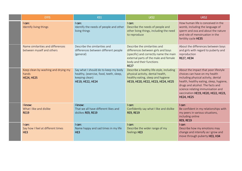| <b>EYFS</b>                                                       | KS1                                                                                                                          | LKS <sub>2</sub>                                                                                                                                                                                  | UKS2                                                                                                                                                                                                                                                                                         |
|-------------------------------------------------------------------|------------------------------------------------------------------------------------------------------------------------------|---------------------------------------------------------------------------------------------------------------------------------------------------------------------------------------------------|----------------------------------------------------------------------------------------------------------------------------------------------------------------------------------------------------------------------------------------------------------------------------------------------|
| I can:<br>Identify living things                                  | $l$ can:<br>Identify the needs of people and other<br>living things                                                          | I can:<br>Describe the needs of people and<br>other living things, including the need<br>to reproduce                                                                                             | How human life is conceived in the<br>womb, including the language of<br>sperm and ova and about the nature<br>and role of menstruation in the<br>fertility cycle HE35                                                                                                                       |
| Name similarities and differences<br>between myself and others    | Describe the similarities and<br>differences between different people<br>(general)                                           | Describe the similarities and<br>differences between girls and boys<br>(specific) and correctly name the main<br>external parts of the male and female<br>body and their functions<br><b>RE27</b> | About the differences between boys<br>and girls with regard to puberty and<br>reproduction<br><b>RE27, HE34</b>                                                                                                                                                                              |
| Keep clean by washing and drying my<br>hands<br><b>HE24, HE25</b> | Say what I should do to keep my body<br>healthy, (exercise, food, teeth, sleep,<br>keeping clean)<br><b>HE19, HE22, HE24</b> | Describe a healthy life-style, including<br>physical activity, dental health,<br>healthy eating, sleep and hygiene<br>HE19, HE20, HE22, HE23, HE24, HE25                                          | About the impact that poor lifestyle<br>choices can have on my health<br>including physical activity, dental<br>health, healthy eating, sleep, hygiene,<br>drugs and alcohol. The facts and<br>science relating immunisation and<br>vaccination HE19, HE20, HE22, HE23,<br><b>HE24, HE25</b> |
| I know:<br>What I like and dislike<br><b>RE19</b>                 | I know:<br>That we all have different likes and<br>dislikes RE9, RE19                                                        | I can:<br>Confidently say what I like and dislike<br><b>RE9, RE19</b>                                                                                                                             | I can:<br>Be confident in my relationships with<br>my peers in various situations,<br>including online<br><b>RE9, RE19</b>                                                                                                                                                                   |
| $l$ can:<br>Say how I feel at different times<br>HE <sub>3</sub>  | $l$ can:<br>Name happy and sad times in my life<br>HE3                                                                       | $l$ can:<br>Describe the wider range of my<br>feelings HE3                                                                                                                                        | $1$ can:<br>Describe how my emotions may<br>change and intensify as I grow and<br>move through puberty HE3, H34                                                                                                                                                                              |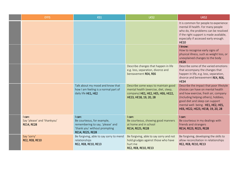| <b>EYFS</b>                                                | KS1                                                                                                                           | LKS2                                                                                                                                         | UKS2                                                                                                                                                                                                                                                                       |
|------------------------------------------------------------|-------------------------------------------------------------------------------------------------------------------------------|----------------------------------------------------------------------------------------------------------------------------------------------|----------------------------------------------------------------------------------------------------------------------------------------------------------------------------------------------------------------------------------------------------------------------------|
|                                                            |                                                                                                                               |                                                                                                                                              | It is common for people to experience<br>mental ill health. For many people<br>who do, the problems can be resolved<br>if the right support is made available,<br>especially if accessed early enough.<br><b>HE10</b>                                                      |
|                                                            |                                                                                                                               |                                                                                                                                              | I know:<br>How to recognise early signs of<br>physical illness, such as weight loss, or<br>unexplained changes to the body<br><b>HE26</b>                                                                                                                                  |
|                                                            |                                                                                                                               | Describe changes that happen in life<br>e.g. loss, separation, divorce and<br>bereavement RE4, RE6                                           | Describe some of the varied emotions<br>that accompany the changes that<br>happen in life, e.g. loss, separation,<br>divorce and bereavement RE4, RE6,<br><b>HE34</b>                                                                                                      |
|                                                            | Talk about my mood and know that<br>how I am feeling is a normal part of<br>daily life HE1, HE2                               | Describe some ways to maintain good<br>mental health (exercise, diet, sleep,<br>company) HE1, HE2, HE5, HE6, HE22,<br>HE23, HE18, 19, 20, 28 | Describe the impact that poor lifestyle<br>choices can have on mental health<br>and how exercise, fresh air, company<br>(Including helping others), hobbies,<br>good diet and sleep can support<br>mental well- being. HE1, HE2, HE5,<br>HE6, HE22, HE23, HE18, 19, 20, 28 |
| I can:<br>Say 'please' and 'thankyou'<br><b>RE14, RE28</b> | I can:<br>Be courteous, for example,<br>remembering to say, 'please' and<br>'thank you' without prompting<br>RE14, RE25, RE28 | I can:<br>Be courteous, showing good manners<br>at home and in school<br>RE14, RE25, RE28                                                    | I can:<br>Be courteous in my dealings with<br>friends and strangers<br>RE14, RE23, RE25, RE28                                                                                                                                                                              |
| Say 'sorry'<br><b>RE2, RE8, RE10</b>                       | Be forgiving, able to say sorry to mend<br>relationships<br>RE2, RE8, RE10, RE13                                              | Be forgiving, able to say sorry and not<br>hold grudges against those who have<br>hurt me<br>RE2, RE8, RE10, RE13                            | Be forgiving, developing the skills to<br>allow reconciliation in relationships<br>RE2, RE8, RE10, RE13                                                                                                                                                                    |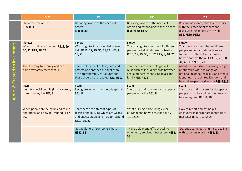|                                                                                                                                | <b>EYFS</b>                                                                      | KS1                                                                                                                                                       | LKS <sub>2</sub>                                                                                                                          | UKS2                                                                                                                                                                                                    |
|--------------------------------------------------------------------------------------------------------------------------------|----------------------------------------------------------------------------------|-----------------------------------------------------------------------------------------------------------------------------------------------------------|-------------------------------------------------------------------------------------------------------------------------------------------|---------------------------------------------------------------------------------------------------------------------------------------------------------------------------------------------------------|
|                                                                                                                                | Show care for others<br><b>RE8, RE30</b>                                         | Be caring, aware of the needs of<br>others<br><b>RE8, RE30</b>                                                                                            | Be caring, aware of the needs of<br>others and responding to those needs<br><b>RE8, RE30, HE32</b>                                        | Be compassionate, able to empathise<br>with the suffering of others and<br>displaying the generosity to help<br>RE8, RE30, HE32                                                                         |
| $\overline{\mathbf{0}}$<br>oth<br>$\omega$<br>$\sum_{i=1}^{n}$<br>$\overline{c}$<br>Created<br>$\ddot{\mathbf{c}}$<br>eme<br>Ĕ | I know:<br>Who can help me in school RE13, 29,<br>30, 32. HE9, 18, 21            | I know:<br>Who to go to if I am worried or need<br>help RE13, 17, 29, 30, 31,32. HE7, 9,<br>18, 21                                                        | I know:<br>That I can go to a number of different<br>people for help in different situations.<br>RE13, 17, 29, 30, 31, 32. HE7, 9, 18, 21 | I know:<br>That there are a number of different<br>people and organisations I can go to<br>for help in different situations and<br>how to contact them RE13, 17, 29, 30,<br>31,32. HE7, 9, 18, 21       |
|                                                                                                                                | That I belong to a family and can<br>name my family members RE3, RE12            | That healthy families love, care and<br>protect one another and that there<br>are different family structures and<br>these should be respected. RE3, RE12 | That there are different types of<br>relationships including those between<br>acquaintances, friends, relatives and<br>family RE3, RE12   | About the importance of living in right<br>relationship with the range of<br>national, regional, religious and ethnic<br>identities in the United Kingdom and<br>beyond, respecting diversity RE3, RE12 |
|                                                                                                                                | I can:<br>Identify special people (family, carers,<br>friends) in my life RE1, 8 | I can:<br>Recognise what makes people special<br><b>RE1, 8</b>                                                                                            | I can:<br>Show care and concern for the special<br>people in my life RE1, 8                                                               | I can:<br>Show care and concern for the special<br>people in my life and put their needs<br>before my own RE1, 8, 16                                                                                    |
|                                                                                                                                | When people are being unkind to me<br>and others and how to respond RE17,<br>19. | That there are different types of<br>teasing and bullying which are wrong<br>and unacceptable and how to respond<br>RE17, 19, 22.                         | What bullying is (including cyber-<br>bullying) and how to respond RE17,<br>19, 22, 23                                                    | How to report and get help if I<br>encounter inappropriate materials or<br>messages RE17, 19, 22, 23                                                                                                    |
|                                                                                                                                |                                                                                  | Get adult help if someone is hurt<br>HE32, 33                                                                                                             | Make a clear and efficient call to<br>emergency services if necessary HE32,<br>33                                                         | Describe some basic first-aid, dealing<br>with common injuries HE32, 33                                                                                                                                 |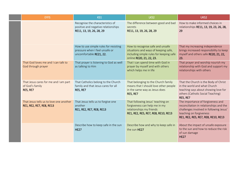|  | <b>EYFS</b>                                                                 | KS1                                                                                                 | LKS <sub>2</sub>                                                                                                                                | UKS <sub>2</sub>                                                                                                                                                                          |
|--|-----------------------------------------------------------------------------|-----------------------------------------------------------------------------------------------------|-------------------------------------------------------------------------------------------------------------------------------------------------|-------------------------------------------------------------------------------------------------------------------------------------------------------------------------------------------|
|  |                                                                             | Recognise the characteristics of<br>positive and negative relationships<br>RE11, 13, 19, 26, 28, 29 | The difference between good and bad<br>secrets<br>RE11, 13, 19, 26, 28, 29                                                                      | How to make informed choices in<br>relationships RE11, 13, 19, 23, 26, 28,<br>29                                                                                                          |
|  |                                                                             | How to use simple rules for resisting<br>pressure when I feel unsafe or<br>uncomfortable RE21, 22.  | How to recognise safe and unsafe<br>situations and ways of keeping safe,<br>including simple rules for keeping safe<br>online RE20, 21, 22, 23. | That my increasing independence<br>brings increased responsibility to keep<br>myself and others safe RE20, 21, 22,<br>23.                                                                 |
|  | That God loves me and I can talk to<br>God through prayer                   | That prayer is listening to God as well<br>as talking to Him                                        | That I can spend time with God in<br>prayer by myself and with others<br>which helps me in life                                                 | That prayer and worship nourish my<br>relationship with God and support my<br>relationships with others                                                                                   |
|  | That Jesus cares for me and I am part<br>of God's family<br><b>RE5, RE7</b> | That Catholics belong to the Church<br>family and that Jesus cares for all<br><b>RE5, RE7</b>       | That belonging to the Church family<br>means that I should love other people<br>in the same way as Jesus does<br><b>RE5, RE7</b>                | That the Church is the Body of Christ<br>in the world and what Church<br>teaching says about showing love for<br>others (Catholic Social Teaching)<br>RE5, RE7                            |
|  | That Jesus tells us to love one another<br>RE1, RE2, RE7, RE8, RE13         | That Jesus tells us to forgive one<br>another<br>RE1, RE2, RE7, RE8, RE13                           | That following Jesus' teaching on<br>forgiveness can help me in my<br>relationships my friends<br>RE1, RE2, RE5, RE7, RE8, RE10, RE13           | The importance of forgiveness and<br>reconciliation in relationships and the<br>challenges involved in following Jesus'<br>teaching on forgiveness<br>RE1, RE2, RE5, RE7, RE8, RE10, RE13 |
|  |                                                                             | Describe how to keep safe in the sun<br><b>HE27</b>                                                 | Describe how and why to keep safe in<br>the sun HE27                                                                                            | About the impact of unsafe exposure<br>to the sun and how to reduce the risk<br>of sun damage<br><b>HE27</b>                                                                              |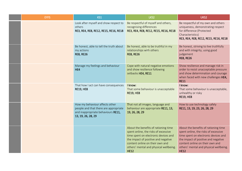| <b>EYFS</b> | KS1                                                                                                                                 | LKS2                                                                                                                                                                                                                                                    | UKS2                                                                                                                                                                                                                                                    |
|-------------|-------------------------------------------------------------------------------------------------------------------------------------|---------------------------------------------------------------------------------------------------------------------------------------------------------------------------------------------------------------------------------------------------------|---------------------------------------------------------------------------------------------------------------------------------------------------------------------------------------------------------------------------------------------------------|
|             | Look after myself and show respect to<br>others<br>RE3, RE4, RE8, RE12, RE15, RE16, RE18                                            | Be respectful of myself and others,<br>recognising differences<br>RE3, RE4, RE8, RE12, RE15, RE16, RE18                                                                                                                                                 | Be respectful of my own and others<br>uniqueness, demonstrating respect<br>for difference (Protected<br>Characteristics)<br>RE3, RE4, RE8, RE12, RE15, RE16, RE18                                                                                       |
|             | Be honest, able to tell the truth about<br>my actions<br><b>RE8, RE26</b>                                                           | Be honest, able to be truthful in my<br>relationships with others<br><b>RE8, RE26</b>                                                                                                                                                                   | Be honest, striving to live truthfully<br>and with integrity, using good<br>judgement<br><b>RE8, RE26</b>                                                                                                                                               |
|             | Manage my feelings and behaviour<br>HE4                                                                                             | Cope with natural negative emotions<br>and show resilience following<br>setbacks HE4, RE11                                                                                                                                                              | Show resilience and manage risk in<br>order to resist unacceptable pressure<br>and show determination and courage<br>when faced with new challenges HE4,<br><b>RE11</b>                                                                                 |
|             | That how I act can have consequences<br><b>RE19, HE8</b>                                                                            | I know:<br>That some behaviour is unacceptable<br><b>RE19, HE8</b>                                                                                                                                                                                      | I know:<br>That some behaviour is unacceptable,<br>unhealthy or risky<br><b>RE19, HE8</b>                                                                                                                                                               |
|             | How my behaviour affects other<br>people and that there are appropriate<br>and inappropriate behaviours RE11,<br>13, 19, 26, 28, 29 | That not all images, language and<br>behaviour are appropriate RE11, 13,<br>19, 26, 28, 29                                                                                                                                                              | How to use technology safely<br>RE11, 13, 19, 23, 26, 28, 29                                                                                                                                                                                            |
|             |                                                                                                                                     | About the benefits of rationing time<br>spent online, the risks of excessive<br>time spent on electronic devices and<br>the impact of positive and negative<br>content online on their own and<br>others' mental and physical wellbeing.<br><b>HE12</b> | About the benefits of rationing time<br>spent online, the risks of excessive<br>time spent on electronic devices and<br>the impact of positive and negative<br>content online on their own and<br>others' mental and physical wellbeing.<br><b>HE12</b> |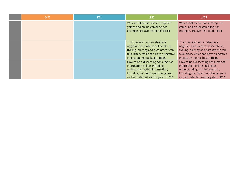| <b>EYFS</b> | KS1 | LKS2                                                                                                                                                                                    | UKS <sub>2</sub>                                                                                                                                                                        |
|-------------|-----|-----------------------------------------------------------------------------------------------------------------------------------------------------------------------------------------|-----------------------------------------------------------------------------------------------------------------------------------------------------------------------------------------|
|             |     | Why social media, some computer<br>games and online gambling, for<br>example, are age restricted. HE14                                                                                  | Why social media, some computer<br>games and online gambling, for<br>example, are age restricted. HE14                                                                                  |
|             |     | That the internet can also be a<br>negative place where online abuse,<br>trolling, bullying and harassment can<br>take place, which can have a negative<br>impact on mental health HE15 | That the internet can also be a<br>negative place where online abuse,<br>trolling, bullying and harassment can<br>take place, which can have a negative<br>impact on mental health HE15 |
|             |     | How to be a discerning consumer of<br>information online, including<br>understanding that information,<br>including that from search engines is<br>ranked, selected and targeted. HE16  | How to be a discerning consumer of<br>information online, including<br>understanding that information,<br>including that from search engines is<br>ranked, selected and targeted. HE16  |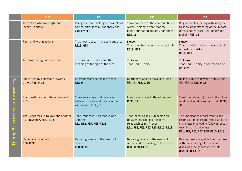|                                                                | <b>EYFS</b>                                                         | KS1                                                                                            | LKS2                                                                                                                                  | UKS2                                                                                                                                                                                      |
|----------------------------------------------------------------|---------------------------------------------------------------------|------------------------------------------------------------------------------------------------|---------------------------------------------------------------------------------------------------------------------------------------|-------------------------------------------------------------------------------------------------------------------------------------------------------------------------------------------|
|                                                                | To explore who my neighbour is -<br>locally / globally.             | Recognise that I belong to a variety of<br>communities locally, nationally and<br>globally RE8 | Show concern for the communities to<br>which I belong, aware that my<br>behaviour has an impact upon them<br><b>RE8, 16</b>           | Be just and fair, acting with integrity<br>to show understanding of the impact<br>of my actions locally, nationally and<br>globally RE8, 16                                               |
|                                                                | Right and wrong actions.                                            | That how I act can have consequences<br><b>RE19, HE8</b>                                       | I know:<br>That some behaviour is unacceptable<br><b>RE19, HE8</b>                                                                    | I know:<br>That some behaviour is unacceptable,<br>unhealthy or risky<br><b>RE19, HE8</b>                                                                                                 |
|                                                                | To make the sign of the cross                                       | To make, and understand the<br>meaning of the sign of the cross.                               | To know:<br>That God is Trinity                                                                                                       | To know:<br>That God is Trinity, a communion of<br>persons.                                                                                                                               |
| communi<br>to live in<br>Created<br>$\ddot{\mathbf{c}}$<br>eme | Show friendly behaviour towards<br>others RE8, 9, 16                | Be friendly and can make friends<br><b>RE8, 9</b>                                              | Be friendly, able to make and keep<br>friends. RE8, 9, 16                                                                             | Be loyal, able to develop and sustain<br>friendships RE8, 9, 16                                                                                                                           |
|                                                                | Ask questions about the wider world<br><b>RE30</b>                  | Show awareness of differences<br>between my life and others in the<br>wider world RE30, 31     | Identify injustices in the wider world<br>RE30, 31                                                                                    | Speak out about injustice in the wider<br>world and what I can do to help RE30,<br>31                                                                                                     |
|                                                                | That Jesus tells us to love one another<br>RE1, RE2, RE7, RE8, RE13 | That Jesus tells us to forgive one<br>another<br>RE1, RE2, RE7, RE8, RE13                      | That following Jesus' teaching on<br>forgiveness can help me in my<br>relationships my friends<br>RE1, RE2, RE5, RE7, RE8, RE10, RE13 | The importance of forgiveness and<br>reconciliation in relationships and the<br>challenges involved in following Jesus'<br>teaching on forgiveness<br>RE1, RE2, RE5, RE7, RE8, RE10, RE13 |
| 흔                                                              | Show care for others<br><b>RE8, RE30</b>                            | Be caring, aware of the needs of<br>others<br><b>RE8, RE30</b>                                 | Be caring, aware of the needs of<br>others and responding to those needs<br><b>RE8, RE30, HE32</b>                                    | Be compassionate, able to empathise<br>with the suffering of others and<br>displaying the generosity to help<br>RE8, RE30, HE32                                                           |